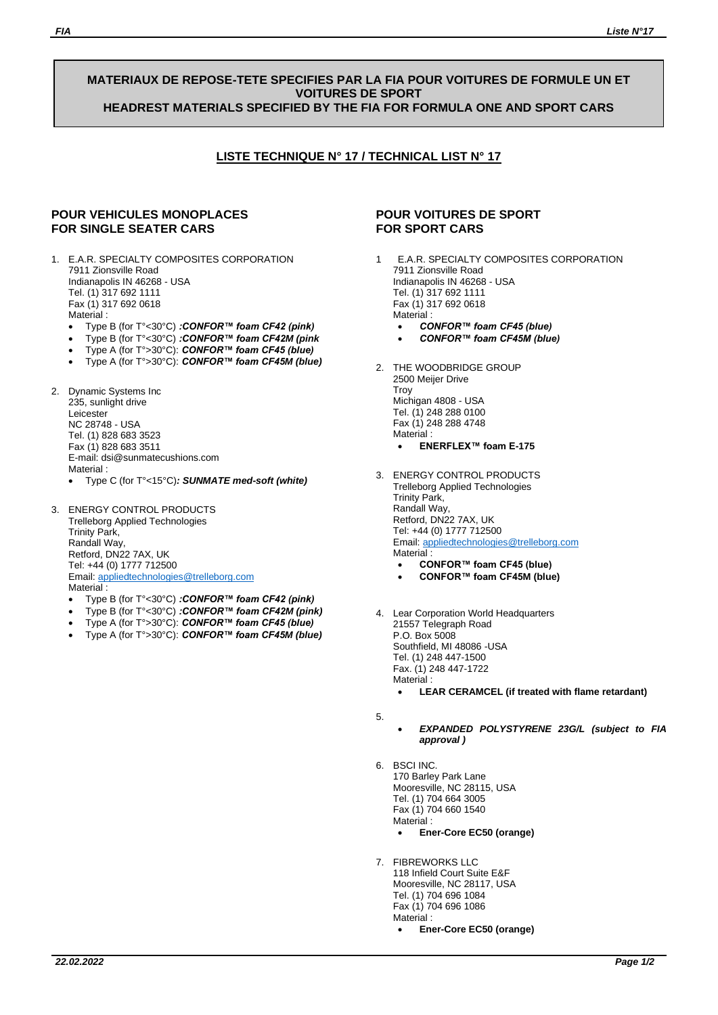#### **MATERIAUX DE REPOSE-TETE SPECIFIES PAR LA FIA POUR VOITURES DE FORMULE UN ET VOITURES DE SPORT HEADREST MATERIALS SPECIFIED BY THE FIA FOR FORMULA ONE AND SPORT CARS**

# **LISTE TECHNIQUE N° 17 / TECHNICAL LIST N° 17**

## **POUR VEHICULES MONOPLACES FOR SINGLE SEATER CARS**

- 1. E.A.R. SPECIALTY COMPOSITES CORPORATION 7911 Zionsville Road Indianapolis IN 46268 - USA Tel. (1) 317 692 1111 Fax (1) 317 692 0618 Material ·
	- Type B (for T°<30°C) *:CONFOR™ foam CF42 (pink)*
	- Type B (for T°<30°C) *:CONFOR™ foam CF42M (pink*
	- Type A (for T°>30°C): *CONFOR™ foam CF45 (blue)*
	- Type A (for T°>30°C): *CONFOR™ foam CF45M (blue)*
- 2. Dynamic Systems Inc 235, sunlight drive Leicester NC 28748 - USA Tel. (1) 828 683 3523 Fax (1) 828 683 3511 E-mail: dsi@sunmatecushions.com **Material** 
	- Type C (for T°<15°C)*: SUNMATE med-soft (white)*
- 3. ENERGY CONTROL PRODUCTS Trelleborg Applied Technologies Trinity Park, Randall Way, Retford, DN22 7AX, UK Tel: +44 (0) 1777 712500 Email[: appliedtechnologies@trelleborg.com](mailto:appliedtechnologies@trelleborg.com) Material :
	- Type B (for T°<30°C) *:CONFOR™ foam CF42 (pink)*
	- Type B (for T°<30°C) *:CONFOR™ foam CF42M (pink)*
	- Type A (for T°>30°C): *CONFOR™ foam CF45 (blue)*
	- Type A (for T°>30°C): *CONFOR™ foam CF45M (blue)*

## **POUR VOITURES DE SPORT FOR SPORT CARS**

- 1 E.A.R. SPECIALTY COMPOSITES CORPORATION 7911 Zionsville Road Indianapolis IN 46268 - USA Tel. (1) 317 692 1111 Fax (1) 317 692 0618 Material :
	- *CONFOR™ foam CF45 (blue)* • *CONFOR™ foam CF45M (blue)*
- 2. THE WOODBRIDGE GROUP 2500 Meijer Drive Troy Michigan 4808 - USA Tel. (1) 248 288 0100 Fax (1) 248 288 4748 Material : • **ENERFLEX™ foam E-175**
- 3. ENERGY CONTROL PRODUCTS Trelleborg Applied Technologies Trinity Park, Randall Way, Retford, DN22 7AX, UK Tel: +44 (0) 1777 712500 Email[: appliedtechnologies@trelleborg.com](mailto:appliedtechnologies@trelleborg.com) Material : • **CONFOR™ foam CF45 (blue)**
	- **CONFOR™ foam CF45M (blue)**
	-
- 4. Lear Corporation World Headquarters 21557 Telegraph Road P.O. Box 5008 Southfield, MI 48086 -USA Tel. (1) 248 447-1500 Fax. (1) 248 447-1722 Material :
	- **LEAR CERAMCEL (if treated with flame retardant)**
- 5.
- *EXPANDED POLYSTYRENE 23G/L (subject to FIA approval )*
- 6. BSCI INC. 170 Barley Park Lane Mooresville, NC 28115, USA Tel. (1) 704 664 3005 Fax (1) 704 660 1540 Material : • **Ener-Core EC50 (orange)**
- 7. FIBREWORKS LLC 118 Infield Court Suite E&F Mooresville, NC 28117, USA Tel. (1) 704 696 1084 Fax (1) 704 696 1086 Material :
	- **Ener-Core EC50 (orange)**